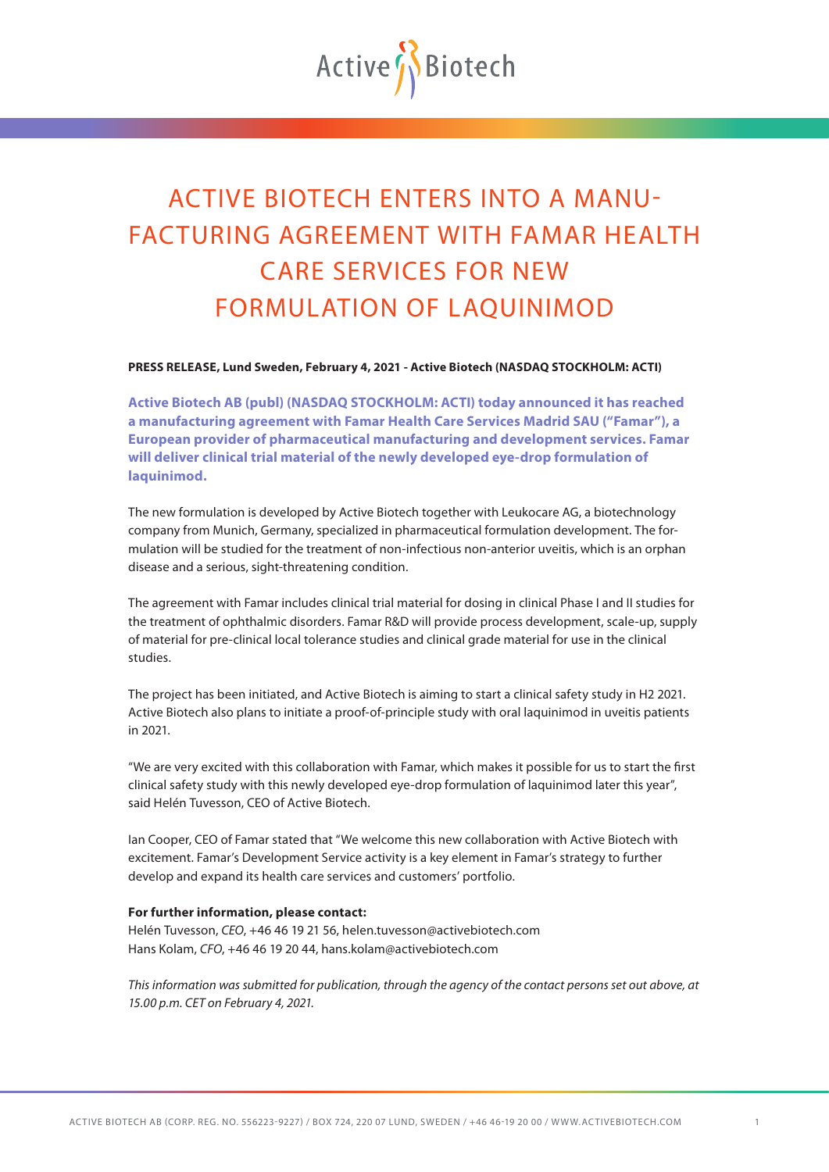

## ACTIVE BIOTECH ENTERS INTO A MANU-FACTURING AGREEMENT WITH FAMAR HEALTH CARE SERVICES FOR NEW FORMULATION OF LAQUINIMOD

**PRESS RELEASE, Lund Sweden, February 4, 2021 - Active Biotech (NASDAQ STOCKHOLM: ACTI)**

**Active Biotech AB (publ) (NASDAQ STOCKHOLM: ACTI) today announced it has reached a manufacturing agreement with Famar Health Care Services Madrid SAU ("Famar"), a European provider of pharmaceutical manufacturing and development services. Famar will deliver clinical trial material of the newly developed eye-drop formulation of laquinimod.**

The new formulation is developed by Active Biotech together with Leukocare AG, a biotechnology company from Munich, Germany, specialized in pharmaceutical formulation development. The formulation will be studied for the treatment of non-infectious non-anterior uveitis, which is an orphan disease and a serious, sight-threatening condition.

The agreement with Famar includes clinical trial material for dosing in clinical Phase I and II studies for the treatment of ophthalmic disorders. Famar R&D will provide process development, scale-up, supply of material for pre-clinical local tolerance studies and clinical grade material for use in the clinical studies.

The project has been initiated, and Active Biotech is aiming to start a clinical safety study in H2 2021. Active Biotech also plans to initiate a proof-of-principle study with oral laquinimod in uveitis patients in 2021.

"We are very excited with this collaboration with Famar, which makes it possible for us to start the first clinical safety study with this newly developed eye-drop formulation of laquinimod later this year", said Helén Tuvesson, CEO of Active Biotech.

Ian Cooper, CEO of Famar stated that "We welcome this new collaboration with Active Biotech with excitement. Famar's Development Service activity is a key element in Famar's strategy to further develop and expand its health care services and customers' portfolio.

## **For further information, please contact:**

Helén Tuvesson, *CEO*, +46 46 19 21 56, helen.tuvesson@activebiotech.com Hans Kolam, *CFO*, +46 46 19 20 44, hans.kolam@activebiotech.com

*This information was submitted for publication, through the agency of the contact persons set out above, at 15.00 p.m. CET on February 4, 2021.*